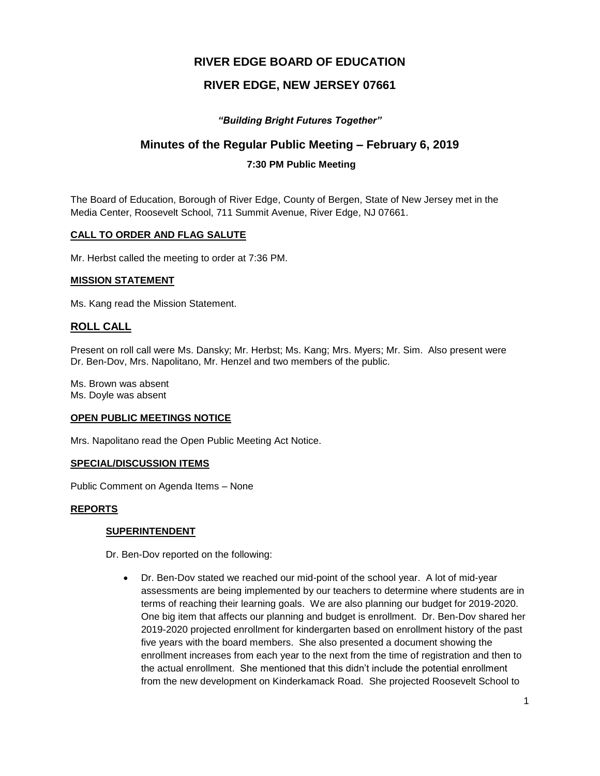# **RIVER EDGE BOARD OF EDUCATION**

# **RIVER EDGE, NEW JERSEY 07661**

# *"Building Bright Futures Together"*

# **Minutes of the Regular Public Meeting – February 6, 2019**

# **7:30 PM Public Meeting**

The Board of Education, Borough of River Edge, County of Bergen, State of New Jersey met in the Media Center, Roosevelt School, 711 Summit Avenue, River Edge, NJ 07661.

## **CALL TO ORDER AND FLAG SALUTE**

Mr. Herbst called the meeting to order at 7:36 PM.

## **MISSION STATEMENT**

Ms. Kang read the Mission Statement.

# **ROLL CALL**

Present on roll call were Ms. Dansky; Mr. Herbst; Ms. Kang; Mrs. Myers; Mr. Sim. Also present were Dr. Ben-Dov, Mrs. Napolitano, Mr. Henzel and two members of the public.

Ms. Brown was absent Ms. Doyle was absent

#### **OPEN PUBLIC MEETINGS NOTICE**

Mrs. Napolitano read the Open Public Meeting Act Notice.

#### **SPECIAL/DISCUSSION ITEMS**

Public Comment on Agenda Items – None

## **REPORTS**

## **SUPERINTENDENT**

Dr. Ben-Dov reported on the following:

 Dr. Ben-Dov stated we reached our mid-point of the school year. A lot of mid-year assessments are being implemented by our teachers to determine where students are in terms of reaching their learning goals. We are also planning our budget for 2019-2020. One big item that affects our planning and budget is enrollment. Dr. Ben-Dov shared her 2019-2020 projected enrollment for kindergarten based on enrollment history of the past five years with the board members. She also presented a document showing the enrollment increases from each year to the next from the time of registration and then to the actual enrollment. She mentioned that this didn't include the potential enrollment from the new development on Kinderkamack Road. She projected Roosevelt School to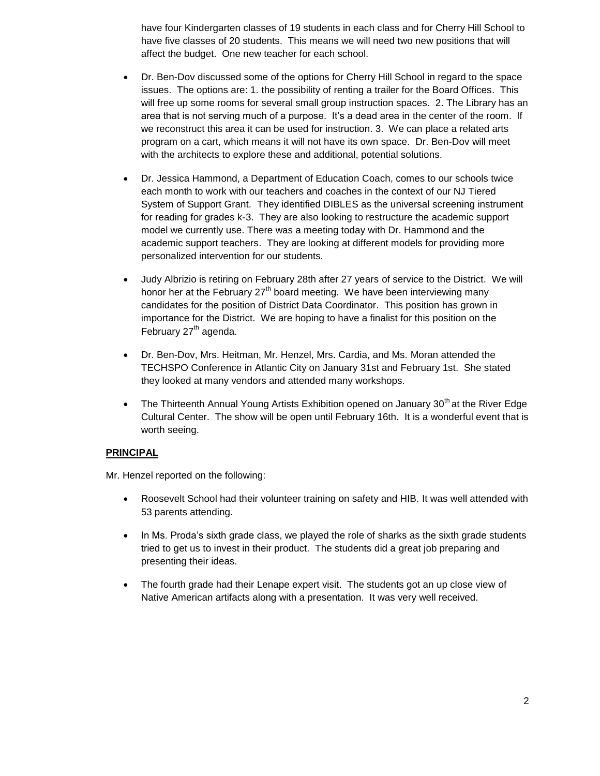have four Kindergarten classes of 19 students in each class and for Cherry Hill School to have five classes of 20 students. This means we will need two new positions that will affect the budget. One new teacher for each school.

- Dr. Ben-Dov discussed some of the options for Cherry Hill School in regard to the space issues. The options are: 1. the possibility of renting a trailer for the Board Offices. This will free up some rooms for several small group instruction spaces. 2. The Library has an area that is not serving much of a purpose. It's a dead area in the center of the room. If we reconstruct this area it can be used for instruction. 3. We can place a related arts program on a cart, which means it will not have its own space. Dr. Ben-Dov will meet with the architects to explore these and additional, potential solutions.
- Dr. Jessica Hammond, a Department of Education Coach, comes to our schools twice each month to work with our teachers and coaches in the context of our NJ Tiered System of Support Grant. They identified DIBLES as the universal screening instrument for reading for grades k-3. They are also looking to restructure the academic support model we currently use. There was a meeting today with Dr. Hammond and the academic support teachers. They are looking at different models for providing more personalized intervention for our students.
- Judy Albrizio is retiring on February 28th after 27 years of service to the District. We will honor her at the February  $27<sup>th</sup>$  board meeting. We have been interviewing many candidates for the position of District Data Coordinator. This position has grown in importance for the District. We are hoping to have a finalist for this position on the February  $27<sup>th</sup>$  agenda.
- Dr. Ben-Dov, Mrs. Heitman, Mr. Henzel, Mrs. Cardia, and Ms. Moran attended the TECHSPO Conference in Atlantic City on January 31st and February 1st. She stated they looked at many vendors and attended many workshops.
- The Thirteenth Annual Young Artists Exhibition opened on January  $30<sup>th</sup>$  at the River Edge Cultural Center. The show will be open until February 16th. It is a wonderful event that is worth seeing.

## **PRINCIPAL**

Mr. Henzel reported on the following:

- Roosevelt School had their volunteer training on safety and HIB. It was well attended with 53 parents attending.
- In Ms. Proda's sixth grade class, we played the role of sharks as the sixth grade students tried to get us to invest in their product. The students did a great job preparing and presenting their ideas.
- The fourth grade had their Lenape expert visit. The students got an up close view of Native American artifacts along with a presentation. It was very well received.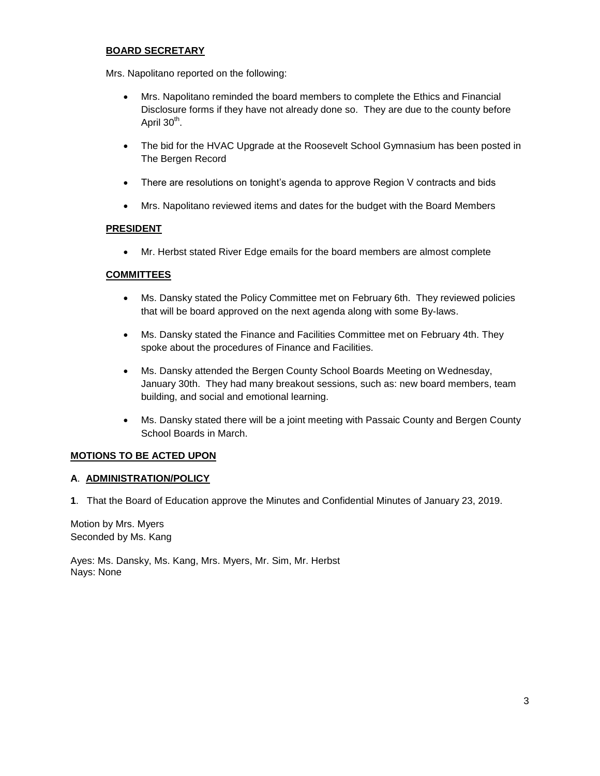## **BOARD SECRETARY**

Mrs. Napolitano reported on the following:

- Mrs. Napolitano reminded the board members to complete the Ethics and Financial Disclosure forms if they have not already done so. They are due to the county before April 30<sup>th</sup>.
- The bid for the HVAC Upgrade at the Roosevelt School Gymnasium has been posted in The Bergen Record
- There are resolutions on tonight's agenda to approve Region V contracts and bids
- Mrs. Napolitano reviewed items and dates for the budget with the Board Members

## **PRESIDENT**

Mr. Herbst stated River Edge emails for the board members are almost complete

## **COMMITTEES**

- Ms. Dansky stated the Policy Committee met on February 6th. They reviewed policies that will be board approved on the next agenda along with some By-laws.
- Ms. Dansky stated the Finance and Facilities Committee met on February 4th. They spoke about the procedures of Finance and Facilities.
- Ms. Dansky attended the Bergen County School Boards Meeting on Wednesday, January 30th. They had many breakout sessions, such as: new board members, team building, and social and emotional learning.
- Ms. Dansky stated there will be a joint meeting with Passaic County and Bergen County School Boards in March.

## **MOTIONS TO BE ACTED UPON**

#### **A**. **ADMINISTRATION/POLICY**

**1**. That the Board of Education approve the Minutes and Confidential Minutes of January 23, 2019.

Motion by Mrs. Myers Seconded by Ms. Kang

Ayes: Ms. Dansky, Ms. Kang, Mrs. Myers, Mr. Sim, Mr. Herbst Nays: None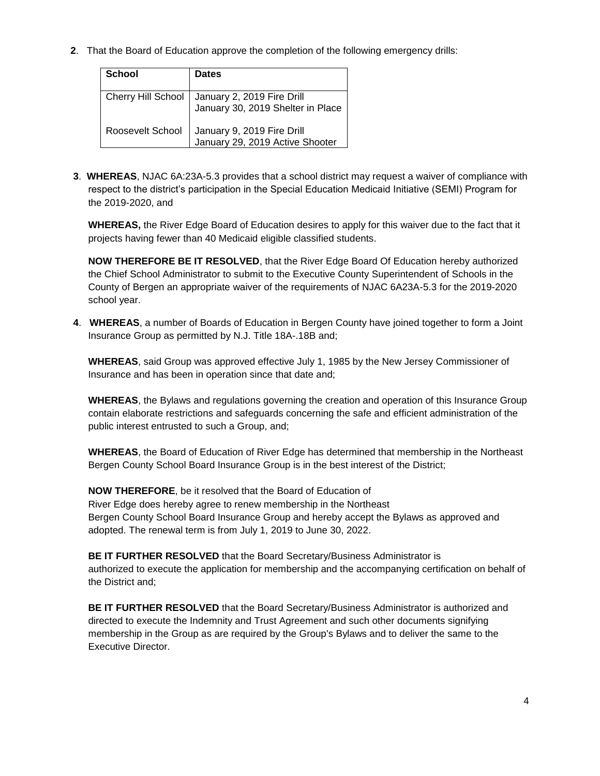**2**. That the Board of Education approve the completion of the following emergency drills:

| <b>School</b>      | <b>Dates</b>                                                    |
|--------------------|-----------------------------------------------------------------|
| Cherry Hill School | January 2, 2019 Fire Drill<br>January 30, 2019 Shelter in Place |
| Roosevelt School   | January 9, 2019 Fire Drill<br>January 29, 2019 Active Shooter   |

**3**. **WHEREAS**, NJAC 6A:23A-5.3 provides that a school district may request a waiver of compliance with respect to the district's participation in the Special Education Medicaid Initiative (SEMI) Program for the 2019-2020, and

**WHEREAS,** the River Edge Board of Education desires to apply for this waiver due to the fact that it projects having fewer than 40 Medicaid eligible classified students.

**NOW THEREFORE BE IT RESOLVED**, that the River Edge Board Of Education hereby authorized the Chief School Administrator to submit to the Executive County Superintendent of Schools in the County of Bergen an appropriate waiver of the requirements of NJAC 6A23A-5.3 for the 2019-2020 school year.

**4**. **WHEREAS**, a number of Boards of Education in Bergen County have joined together to form a Joint Insurance Group as permitted by N.J. Title 18A-.18B and;

**WHEREAS**, said Group was approved effective July 1, 1985 by the New Jersey Commissioner of Insurance and has been in operation since that date and;

**WHEREAS**, the Bylaws and regulations governing the creation and operation of this Insurance Group contain elaborate restrictions and safeguards concerning the safe and efficient administration of the public interest entrusted to such a Group, and;

**WHEREAS**, the Board of Education of River Edge has determined that membership in the Northeast Bergen County School Board Insurance Group is in the best interest of the District;

**NOW THEREFORE**, be it resolved that the Board of Education of River Edge does hereby agree to renew membership in the Northeast Bergen County School Board Insurance Group and hereby accept the Bylaws as approved and adopted. The renewal term is from July 1, 2019 to June 30, 2022.

**BE IT FURTHER RESOLVED** that the Board Secretary/Business Administrator is authorized to execute the application for membership and the accompanying certification on behalf of the District and;

**BE IT FURTHER RESOLVED** that the Board Secretary/Business Administrator is authorized and directed to execute the Indemnity and Trust Agreement and such other documents signifying membership in the Group as are required by the Group's Bylaws and to deliver the same to the Executive Director.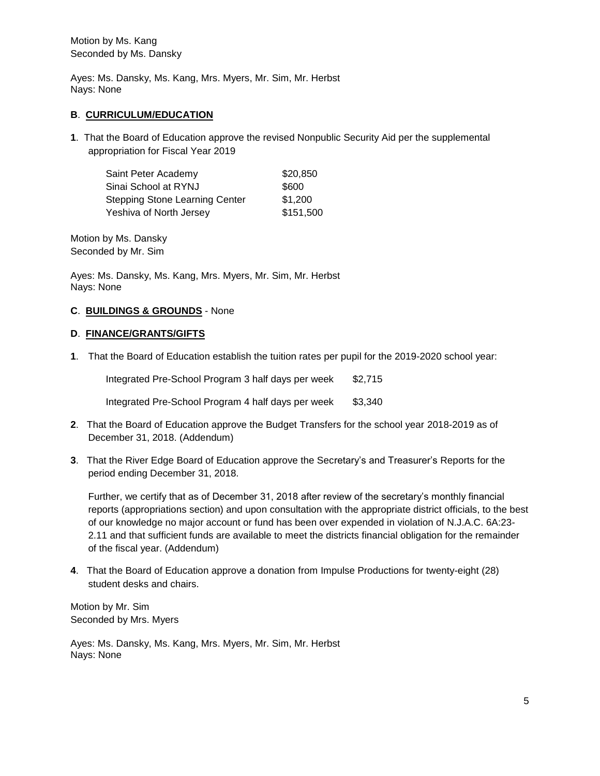Motion by Ms. Kang Seconded by Ms. Dansky

Ayes: Ms. Dansky, Ms. Kang, Mrs. Myers, Mr. Sim, Mr. Herbst Nays: None

#### **B**. **CURRICULUM/EDUCATION**

**1**. That the Board of Education approve the revised Nonpublic Security Aid per the supplemental appropriation for Fiscal Year 2019

| Saint Peter Academy                   | \$20,850  |
|---------------------------------------|-----------|
| Sinai School at RYNJ                  | \$600     |
| <b>Stepping Stone Learning Center</b> | \$1,200   |
| Yeshiva of North Jersey               | \$151,500 |

Motion by Ms. Dansky Seconded by Mr. Sim

Ayes: Ms. Dansky, Ms. Kang, Mrs. Myers, Mr. Sim, Mr. Herbst Nays: None

#### **C**. **BUILDINGS & GROUNDS** - None

## **D**. **FINANCE/GRANTS/GIFTS**

**1**. That the Board of Education establish the tuition rates per pupil for the 2019-2020 school year:

Integrated Pre-School Program 3 half days per week \$2,715 Integrated Pre-School Program 4 half days per week \$3,340

- **2**. That the Board of Education approve the Budget Transfers for the school year 2018-2019 as of December 31, 2018. (Addendum)
- **3**. That the River Edge Board of Education approve the Secretary's and Treasurer's Reports for the period ending December 31, 2018.

Further, we certify that as of December 31, 2018 after review of the secretary's monthly financial reports (appropriations section) and upon consultation with the appropriate district officials, to the best of our knowledge no major account or fund has been over expended in violation of N.J.A.C. 6A:23- 2.11 and that sufficient funds are available to meet the districts financial obligation for the remainder of the fiscal year. (Addendum)

**4**. That the Board of Education approve a donation from Impulse Productions for twenty-eight (28) student desks and chairs.

Motion by Mr. Sim Seconded by Mrs. Myers

Ayes: Ms. Dansky, Ms. Kang, Mrs. Myers, Mr. Sim, Mr. Herbst Nays: None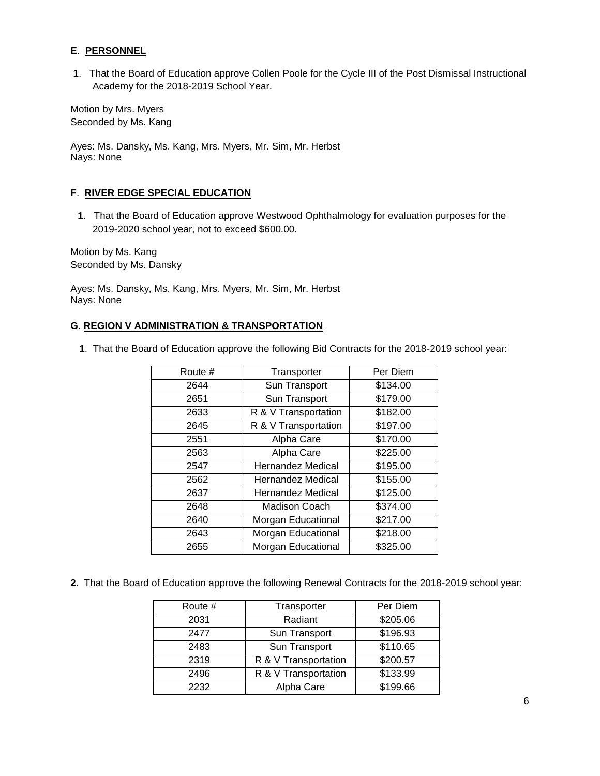## **E**. **PERSONNEL**

. That the Board of Education approve Collen Poole for the Cycle III of the Post Dismissal Instructional Academy for the 2018-2019 School Year.

Motion by Mrs. Myers Seconded by Ms. Kang

Ayes: Ms. Dansky, Ms. Kang, Mrs. Myers, Mr. Sim, Mr. Herbst Nays: None

## **F**. **RIVER EDGE SPECIAL EDUCATION**

. That the Board of Education approve Westwood Ophthalmology for evaluation purposes for the 2019-2020 school year, not to exceed \$600.00.

Motion by Ms. Kang Seconded by Ms. Dansky

Ayes: Ms. Dansky, Ms. Kang, Mrs. Myers, Mr. Sim, Mr. Herbst Nays: None

#### **G**. **REGION V ADMINISTRATION & TRANSPORTATION**

. That the Board of Education approve the following Bid Contracts for the 2018-2019 school year:

| Route # | Transporter              | Per Diem |
|---------|--------------------------|----------|
| 2644    | Sun Transport            | \$134.00 |
| 2651    | Sun Transport            | \$179.00 |
| 2633    | R & V Transportation     | \$182.00 |
| 2645    | R & V Transportation     | \$197.00 |
| 2551    | Alpha Care               | \$170.00 |
| 2563    | Alpha Care               | \$225.00 |
| 2547    | <b>Hernandez Medical</b> | \$195.00 |
| 2562    | Hernandez Medical        | \$155.00 |
| 2637    | <b>Hernandez Medical</b> | \$125.00 |
| 2648    | <b>Madison Coach</b>     | \$374.00 |
| 2640    | Morgan Educational       | \$217.00 |
| 2643    | Morgan Educational       | \$218.00 |
| 2655    | Morgan Educational       | \$325.00 |

. That the Board of Education approve the following Renewal Contracts for the 2018-2019 school year:

| Route # | Transporter          | Per Diem |
|---------|----------------------|----------|
| 2031    | Radiant              | \$205.06 |
| 2477    | Sun Transport        | \$196.93 |
| 2483    | Sun Transport        | \$110.65 |
| 2319    | R & V Transportation | \$200.57 |
| 2496    | R & V Transportation | \$133.99 |
| 2232    | Alpha Care           | \$199.66 |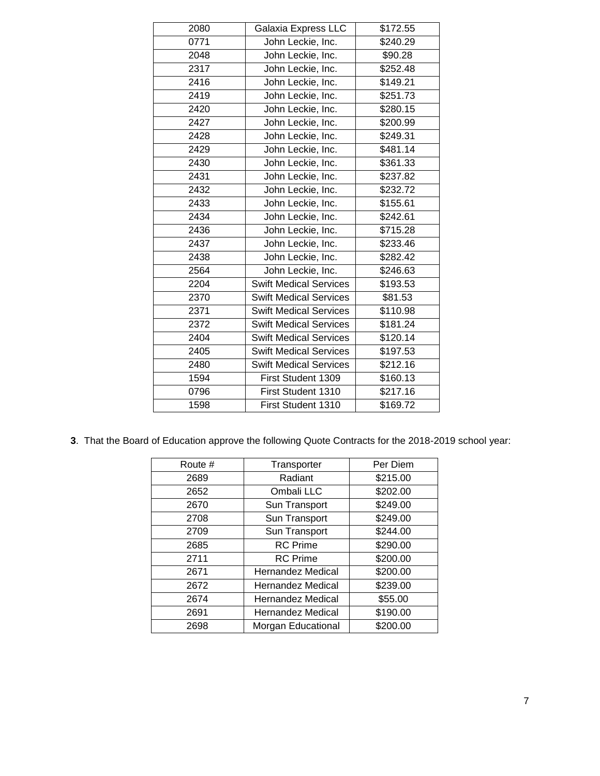| 2080 | Galaxia Express LLC           | \$172.55 |
|------|-------------------------------|----------|
| 0771 | John Leckie, Inc.             | \$240.29 |
| 2048 | John Leckie, Inc.             | \$90.28  |
| 2317 | John Leckie, Inc.             | \$252.48 |
| 2416 | John Leckie, Inc.             | \$149.21 |
| 2419 | John Leckie, Inc.             | \$251.73 |
| 2420 | John Leckie, Inc.             | \$280.15 |
| 2427 | John Leckie, Inc.             | \$200.99 |
| 2428 | John Leckie, Inc.             | \$249.31 |
| 2429 | John Leckie, Inc.             | \$481.14 |
| 2430 | John Leckie, Inc.             | \$361.33 |
| 2431 | John Leckie, Inc.             | \$237.82 |
| 2432 | John Leckie, Inc.             | \$232.72 |
| 2433 | John Leckie, Inc.             | \$155.61 |
| 2434 | John Leckie, Inc.             | \$242.61 |
| 2436 | John Leckie, Inc.             | \$715.28 |
| 2437 | John Leckie, Inc.             | \$233.46 |
| 2438 | John Leckie, Inc.             | \$282.42 |
| 2564 | John Leckie, Inc.             | \$246.63 |
| 2204 | <b>Swift Medical Services</b> | \$193.53 |
| 2370 | <b>Swift Medical Services</b> | \$81.53  |
| 2371 | <b>Swift Medical Services</b> | \$110.98 |
| 2372 | <b>Swift Medical Services</b> | \$181.24 |
| 2404 | <b>Swift Medical Services</b> | \$120.14 |
| 2405 | <b>Swift Medical Services</b> | \$197.53 |
| 2480 | <b>Swift Medical Services</b> | \$212.16 |
| 1594 | First Student 1309            | \$160.13 |
| 0796 | First Student 1310            | \$217.16 |
| 1598 | First Student 1310            | \$169.72 |

. That the Board of Education approve the following Quote Contracts for the 2018-2019 school year:

| Route # | Transporter              | Per Diem |
|---------|--------------------------|----------|
| 2689    | Radiant                  | \$215.00 |
| 2652    | Ombali LLC               | \$202.00 |
| 2670    | Sun Transport            | \$249.00 |
| 2708    | Sun Transport            | \$249.00 |
| 2709    | Sun Transport            | \$244.00 |
| 2685    | <b>RC</b> Prime          | \$290.00 |
| 2711    | <b>RC</b> Prime          | \$200.00 |
| 2671    | <b>Hernandez Medical</b> | \$200.00 |
| 2672    | <b>Hernandez Medical</b> | \$239.00 |
| 2674    | <b>Hernandez Medical</b> | \$55.00  |
| 2691    | <b>Hernandez Medical</b> | \$190.00 |
| 2698    | Morgan Educational       | \$200.00 |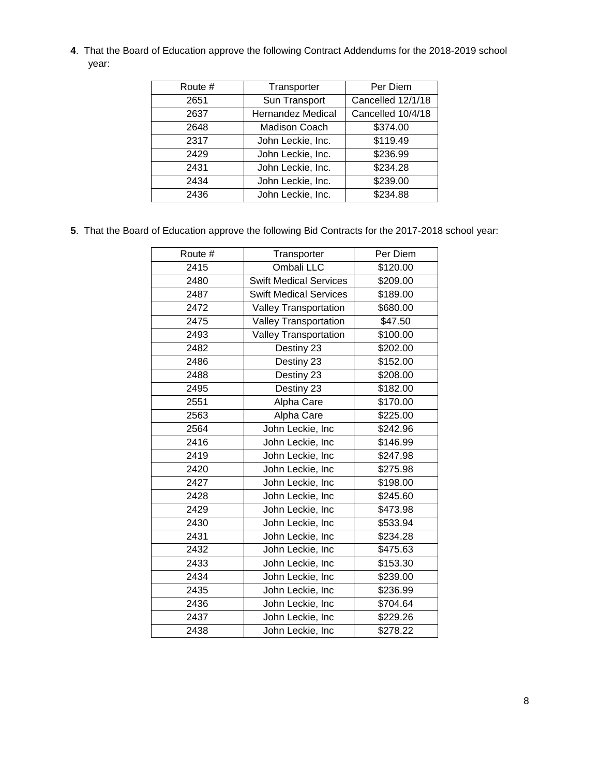. That the Board of Education approve the following Contract Addendums for the 2018-2019 school year:

| Route # | Transporter              | Per Diem          |
|---------|--------------------------|-------------------|
| 2651    | Sun Transport            | Cancelled 12/1/18 |
| 2637    | <b>Hernandez Medical</b> | Cancelled 10/4/18 |
| 2648    | <b>Madison Coach</b>     | \$374.00          |
| 2317    | John Leckie, Inc.        | \$119.49          |
| 2429    | John Leckie, Inc.        | \$236.99          |
| 2431    | John Leckie, Inc.        | \$234.28          |
| 2434    | John Leckie, Inc.        | \$239.00          |
| 2436    | John Leckie, Inc.        | \$234.88          |

. That the Board of Education approve the following Bid Contracts for the 2017-2018 school year:

| Route # | Transporter                   | Per Diem |
|---------|-------------------------------|----------|
| 2415    | Ombali LLC                    | \$120.00 |
| 2480    | <b>Swift Medical Services</b> | \$209.00 |
| 2487    | <b>Swift Medical Services</b> | \$189.00 |
| 2472    | Valley Transportation         | \$680.00 |
| 2475    | <b>Valley Transportation</b>  | \$47.50  |
| 2493    | Valley Transportation         | \$100.00 |
| 2482    | Destiny 23                    | \$202.00 |
| 2486    | Destiny 23                    | \$152.00 |
| 2488    | Destiny 23                    | \$208.00 |
| 2495    | Destiny 23                    | \$182.00 |
| 2551    | Alpha Care                    | \$170.00 |
| 2563    | Alpha Care                    | \$225.00 |
| 2564    | John Leckie, Inc              | \$242.96 |
| 2416    | John Leckie, Inc              | \$146.99 |
| 2419    | John Leckie, Inc              | \$247.98 |
| 2420    | John Leckie, Inc              | \$275.98 |
| 2427    | John Leckie, Inc              | \$198.00 |
| 2428    | John Leckie, Inc              | \$245.60 |
| 2429    | John Leckie, Inc              | \$473.98 |
| 2430    | John Leckie, Inc              | \$533.94 |
| 2431    | John Leckie, Inc              | \$234.28 |
| 2432    | John Leckie, Inc              | \$475.63 |
| 2433    | John Leckie, Inc              | \$153.30 |
| 2434    | John Leckie, Inc              | \$239.00 |
| 2435    | John Leckie, Inc              | \$236.99 |
| 2436    | John Leckie, Inc              | \$704.64 |
| 2437    | John Leckie, Inc              | \$229.26 |
| 2438    | John Leckie, Inc              | \$278.22 |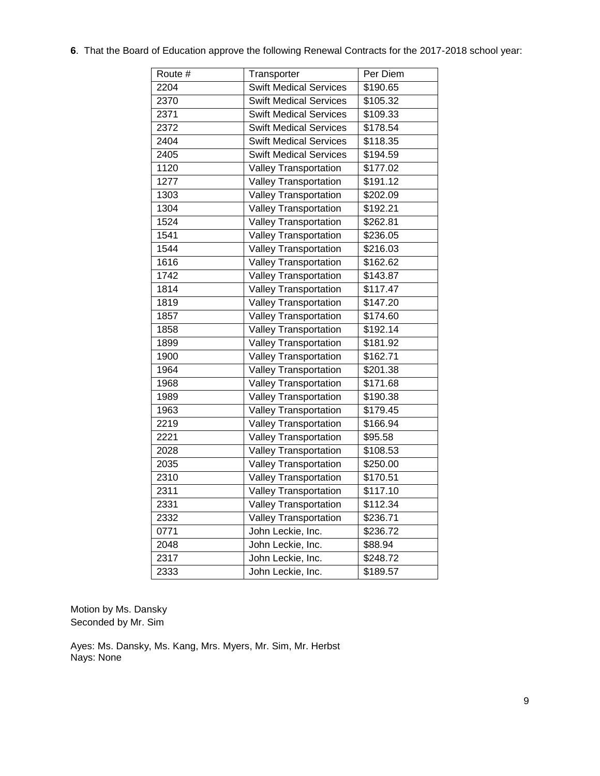| Route # | Transporter                   | Per Diem |
|---------|-------------------------------|----------|
| 2204    | <b>Swift Medical Services</b> | \$190.65 |
| 2370    | <b>Swift Medical Services</b> | \$105.32 |
| 2371    | <b>Swift Medical Services</b> | \$109.33 |
| 2372    | <b>Swift Medical Services</b> | \$178.54 |
| 2404    | <b>Swift Medical Services</b> | \$118.35 |
| 2405    | <b>Swift Medical Services</b> | \$194.59 |
| 1120    | <b>Valley Transportation</b>  | \$177.02 |
| 1277    | <b>Valley Transportation</b>  | \$191.12 |
| 1303    | Valley Transportation         | \$202.09 |
| 1304    | <b>Valley Transportation</b>  | \$192.21 |
| 1524    | <b>Valley Transportation</b>  | \$262.81 |
| 1541    | <b>Valley Transportation</b>  | \$236.05 |
| 1544    | Valley Transportation         | \$216.03 |
| 1616    | <b>Valley Transportation</b>  | \$162.62 |
| 1742    | <b>Valley Transportation</b>  | \$143.87 |
| 1814    | <b>Valley Transportation</b>  | \$117.47 |
| 1819    | Valley Transportation         | \$147.20 |
| 1857    | <b>Valley Transportation</b>  | \$174.60 |
| 1858    | Valley Transportation         | \$192.14 |
| 1899    | <b>Valley Transportation</b>  | \$181.92 |
| 1900    | <b>Valley Transportation</b>  | \$162.71 |
| 1964    | <b>Valley Transportation</b>  | \$201.38 |
| 1968    | <b>Valley Transportation</b>  | \$171.68 |
| 1989    | <b>Valley Transportation</b>  | \$190.38 |
| 1963    | <b>Valley Transportation</b>  | \$179.45 |
| 2219    | <b>Valley Transportation</b>  | \$166.94 |
| 2221    | <b>Valley Transportation</b>  | \$95.58  |
| 2028    | <b>Valley Transportation</b>  | \$108.53 |
| 2035    | <b>Valley Transportation</b>  | \$250.00 |
| 2310    | <b>Valley Transportation</b>  | \$170.51 |
| 2311    | <b>Valley Transportation</b>  | \$117.10 |
| 2331    | Valley Transportation         | \$112.34 |
| 2332    | Valley Transportation         | \$236.71 |
| 0771    | John Leckie, Inc.             | \$236.72 |
| 2048    | John Leckie, Inc.             | \$88.94  |
| 2317    | John Leckie, Inc.             | \$248.72 |
| 2333    | John Leckie, Inc.             | \$189.57 |

. That the Board of Education approve the following Renewal Contracts for the 2017-2018 school year:

Motion by Ms. Dansky Seconded by Mr. Sim

Ayes: Ms. Dansky, Ms. Kang, Mrs. Myers, Mr. Sim, Mr. Herbst Nays: None